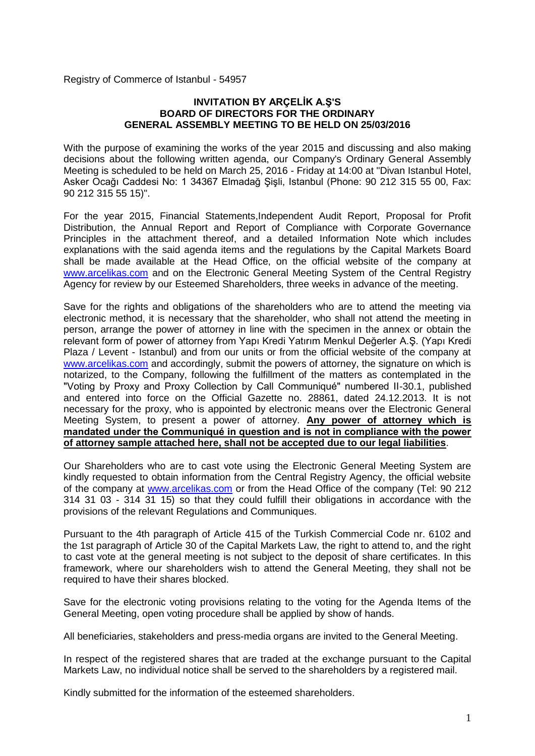Registry of Commerce of Istanbul - 54957

#### **INVITATION BY ARÇELİK A.Ş'S BOARD OF DIRECTORS FOR THE ORDINARY GENERAL ASSEMBLY MEETING TO BE HELD ON 25/03/2016**

With the purpose of examining the works of the year 2015 and discussing and also making decisions about the following written agenda, our Company's Ordinary General Assembly Meeting is scheduled to be held on March 25, 2016 - Friday at 14:00 at "Divan Istanbul Hotel, Asker Ocağı Caddesi No: 1 34367 Elmadağ Şişli, Istanbul (Phone: 90 212 315 55 00, Fax: 90 212 315 55 15)".

For the year 2015, Financial Statements,Independent Audit Report, Proposal for Profit Distribution, the Annual Report and Report of Compliance with Corporate Governance Principles in the attachment thereof, and a detailed Information Note which includes explanations with the said agenda items and the regulations by the Capital Markets Board shall be made available at the Head Office, on the official website of the company at [www.arcelikas.com](http://www.arcelikas.com/) and on the Electronic General Meeting System of the Central Registry Agency for review by our Esteemed Shareholders, three weeks in advance of the meeting.

Save for the rights and obligations of the shareholders who are to attend the meeting via electronic method, it is necessary that the shareholder, who shall not attend the meeting in person, arrange the power of attorney in line with the specimen in the annex or obtain the relevant form of power of attorney from Yapı Kredi Yatırım Menkul Değerler A.Ş. (Yapı Kredi Plaza / Levent - Istanbul) and from our units or from the official website of the company at [www.arcelikas.com](http://www.arcelikas.com/) and accordingly, submit the powers of attorney, the signature on which is notarized, to the Company, following the fulfillment of the matters as contemplated in the "Voting by Proxy and Proxy Collection by Call Communiqué" numbered II-30.1, published and entered into force on the Official Gazette no. 28861, dated 24.12.2013. It is not necessary for the proxy, who is appointed by electronic means over the Electronic General Meeting System, to present a power of attorney. **Any power of attorney which is mandated under the Communiqué in question and is not in compliance with the power of attorney sample attached here, shall not be accepted due to our legal liabilities**.

Our Shareholders who are to cast vote using the Electronic General Meeting System are kindly requested to obtain information from the Central Registry Agency, the official website of the company at [www.arcelikas.com](http://www.arcelikas.com/) or from the Head Office of the company [\(Tel: 90](tel:0) 212 314 31 03 - 314 31 15) so that they could fulfill their obligations in accordance with the provisions of the relevant Regulations and Communiques.

Pursuant to the 4th paragraph of Article 415 of the Turkish Commercial Code nr. 6102 and the 1st paragraph of Article 30 of the Capital Markets Law, the right to attend to, and the right to cast vote at the general meeting is not subject to the deposit of share certificates. In this framework, where our shareholders wish to attend the General Meeting, they shall not be required to have their shares blocked.

Save for the electronic voting provisions relating to the voting for the Agenda Items of the General Meeting, open voting procedure shall be applied by show of hands.

All beneficiaries, stakeholders and press-media organs are invited to the General Meeting.

In respect of the registered shares that are traded at the exchange pursuant to the Capital Markets Law, no individual notice shall be served to the shareholders by a registered mail.

Kindly submitted for the information of the esteemed shareholders.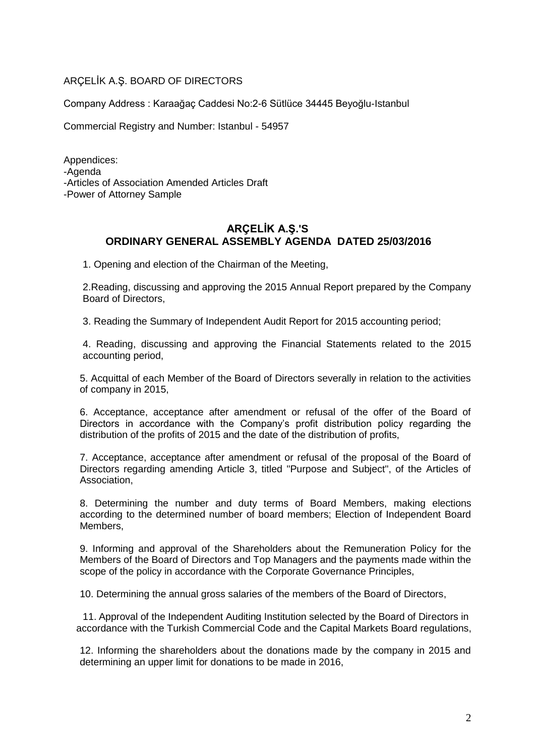# ARÇELİK A.Ş. BOARD OF DIRECTORS

Company Address : Karaağaç Caddesi No:2-6 Sütlüce 34445 Beyoğlu-Istanbul

Commercial Registry and Number: Istanbul - 54957

Appendices: -Agenda -Articles of Association Amended Articles Draft -Power of Attorney Sample

# **ARÇELİK A.Ş.'S ORDINARY GENERAL ASSEMBLY AGENDA DATED 25/03/2016**

1. Opening and election of the Chairman of the Meeting,

2.Reading, discussing and approving the 2015 Annual Report prepared by the Company Board of Directors,

3. Reading the Summary of Independent Audit Report for 2015 accounting period;

4. Reading, discussing and approving the Financial Statements related to the 2015 accounting period,

5. Acquittal of each Member of the Board of Directors severally in relation to the activities of company in 2015,

6. Acceptance, acceptance after amendment or refusal of the offer of the Board of Directors in accordance with the Company's profit distribution policy regarding the distribution of the profits of 2015 and the date of the distribution of profits,

7. Acceptance, acceptance after amendment or refusal of the proposal of the Board of Directors regarding amending Article 3, titled "Purpose and Subject", of the Articles of Association,

8. Determining the number and duty terms of Board Members, making elections according to the determined number of board members; Election of Independent Board Members,

9. Informing and approval of the Shareholders about the Remuneration Policy for the Members of the Board of Directors and Top Managers and the payments made within the scope of the policy in accordance with the Corporate Governance Principles,

10. Determining the annual gross salaries of the members of the Board of Directors,

11. Approval of the Independent Auditing Institution selected by the Board of Directors in accordance with the Turkish Commercial Code and the Capital Markets Board regulations,

12. Informing the shareholders about the donations made by the company in 2015 and determining an upper limit for donations to be made in 2016,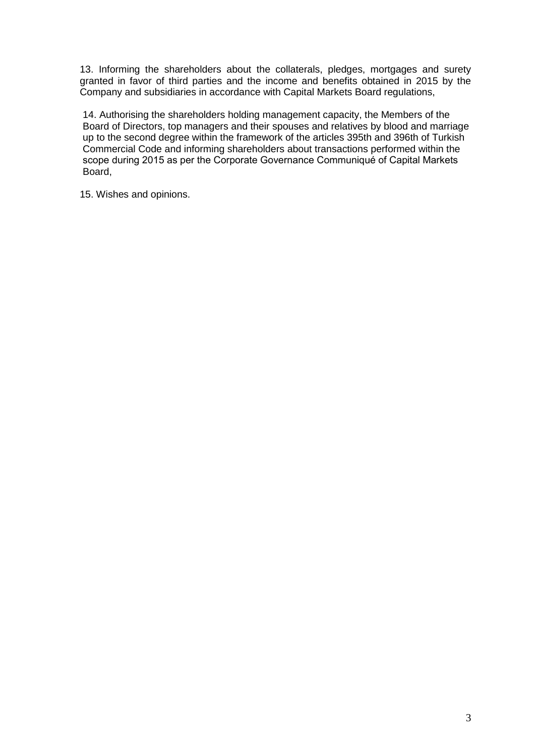13. Informing the shareholders about the collaterals, pledges, mortgages and surety granted in favor of third parties and the income and benefits obtained in 2015 by the Company and subsidiaries in accordance with Capital Markets Board regulations,

14. Authorising the shareholders holding management capacity, the Members of the Board of Directors, top managers and their spouses and relatives by blood and marriage up to the second degree within the framework of the articles 395th and 396th of Turkish Commercial Code and informing shareholders about transactions performed within the scope during 2015 as per the Corporate Governance Communiqué of Capital Markets Board,

15. Wishes and opinions.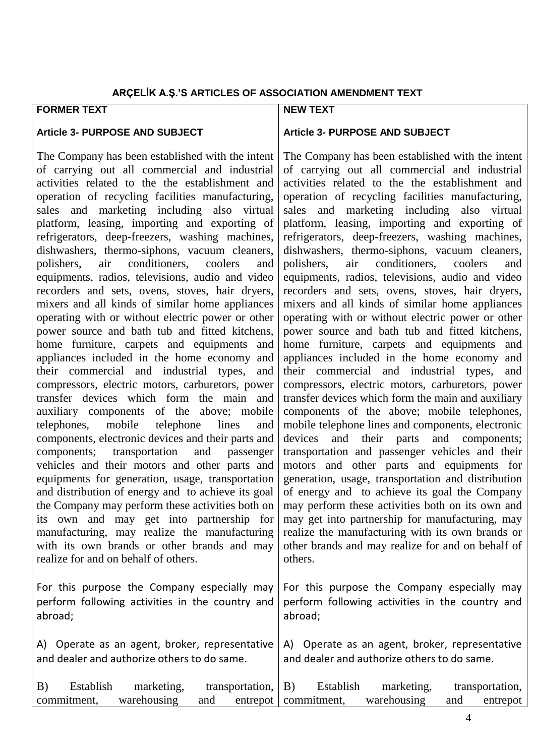### **ARÇELİK A.Ş.'S ARTICLES OF ASSOCIATION AMENDMENT TEXT**

# **FORMER TEXT**

#### **Article 3- PURPOSE AND SUBJECT**

The Company has been established with the intent of carrying out all commercial and industrial activities related to the the establishment and operation of recycling facilities manufacturing, sales and marketing including also virtual platform, leasing, importing and exporting of refrigerators, deep-freezers, washing machines, dishwashers, thermo-siphons, vacuum cleaners, polishers, air conditioners, coolers and equipments, radios, televisions, audio and video recorders and sets, ovens, stoves, hair dryers, mixers and all kinds of similar home appliances operating with or without electric power or other power source and bath tub and fitted kitchens, home furniture, carpets and equipments and appliances included in the home economy and their commercial and industrial types, and compressors, electric motors, carburetors, power transfer devices which form the main and auxiliary components of the above; mobile telephones, mobile telephone lines and components, electronic devices and their parts and components; transportation and passenger vehicles and their motors and other parts and equipments for generation, usage, transportation and distribution of energy and to achieve its goal the Company may perform these activities both on its own and may get into partnership for manufacturing, may realize the manufacturing with its own brands or other brands and may realize for and on behalf of others.

For this purpose the Company especially may perform following activities in the country and abroad;

A) Operate as an agent, broker, representative and dealer and authorize others to do same.

### **NEW TEXT**

#### **Article 3- PURPOSE AND SUBJECT**

The Company has been established with the intent of carrying out all commercial and industrial activities related to the the establishment and operation of recycling facilities manufacturing, sales and marketing including also virtual platform, leasing, importing and exporting of refrigerators, deep-freezers, washing machines, dishwashers, thermo-siphons, vacuum cleaners, polishers, air conditioners, coolers and equipments, radios, televisions, audio and video recorders and sets, ovens, stoves, hair dryers, mixers and all kinds of similar home appliances operating with or without electric power or other power source and bath tub and fitted kitchens, home furniture, carpets and equipments and appliances included in the home economy and their commercial and industrial types, and compressors, electric motors, carburetors, power transfer devices which form the main and auxiliary components of the above; mobile telephones, mobile telephone lines and components, electronic devices and their parts and components; transportation and passenger vehicles and their motors and other parts and equipments for generation, usage, transportation and distribution of energy and to achieve its goal the Company may perform these activities both on its own and may get into partnership for manufacturing, may realize the manufacturing with its own brands or other brands and may realize for and on behalf of others.

For this purpose the Company especially may perform following activities in the country and abroad;

A) Operate as an agent, broker, representative and dealer and authorize others to do same.

| (B) | Establish   | marketing,  |     | transportation, $  B \rangle$ | Establish | marketing,  |     | transportation, |
|-----|-------------|-------------|-----|-------------------------------|-----------|-------------|-----|-----------------|
|     | commitment, | warehousing | and | entrepot   commitment,        |           | warehousing | and | entrepot        |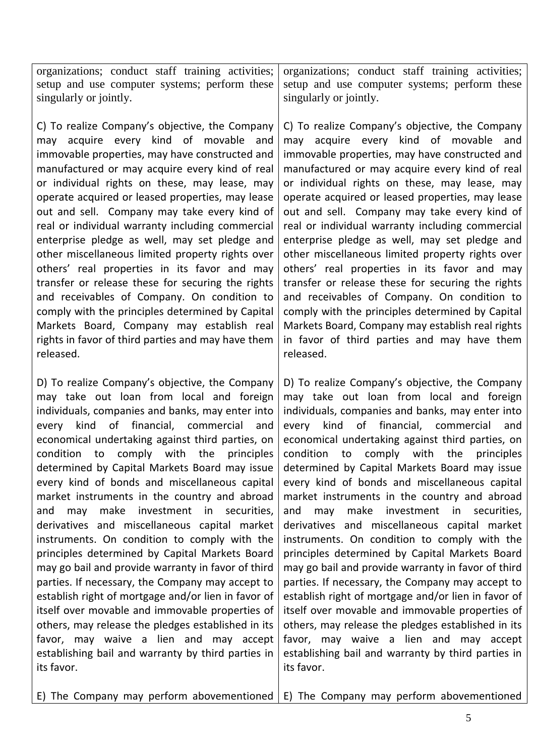organizations; conduct staff training activities; setup and use computer systems; perform these singularly or jointly.

C) To realize Company's objective, the Company may acquire every kind of movable and immovable properties, may have constructed and manufactured or may acquire every kind of real or individual rights on these, may lease, may operate acquired or leased properties, may lease out and sell. Company may take every kind of real or individual warranty including commercial enterprise pledge as well, may set pledge and other miscellaneous limited property rights over others' real properties in its favor and may transfer or release these for securing the rights and receivables of Company. On condition to comply with the principles determined by Capital Markets Board, Company may establish real rights in favor of third parties and may have them released.

D) To realize Company's objective, the Company may take out loan from local and foreign individuals, companies and banks, may enter into every kind of financial, commercial and economical undertaking against third parties, on condition to comply with the principles determined by Capital Markets Board may issue every kind of bonds and miscellaneous capital market instruments in the country and abroad and may make investment in securities, derivatives and miscellaneous capital market instruments. On condition to comply with the principles determined by Capital Markets Board may go bail and provide warranty in favor of third parties. If necessary, the Company may accept to establish right of mortgage and/or lien in favor of itself over movable and immovable properties of others, may release the pledges established in its favor, may waive a lien and may accept establishing bail and warranty by third parties in its favor.

organizations; conduct staff training activities; setup and use computer systems; perform these singularly or jointly.

C) To realize Company's objective, the Company may acquire every kind of movable and immovable properties, may have constructed and manufactured or may acquire every kind of real or individual rights on these, may lease, may operate acquired or leased properties, may lease out and sell. Company may take every kind of real or individual warranty including commercial enterprise pledge as well, may set pledge and other miscellaneous limited property rights over others' real properties in its favor and may transfer or release these for securing the rights and receivables of Company. On condition to comply with the principles determined by Capital Markets Board, Company may establish real rights in favor of third parties and may have them released.

D) To realize Company's objective, the Company may take out loan from local and foreign individuals, companies and banks, may enter into every kind of financial, commercial and economical undertaking against third parties, on condition to comply with the principles determined by Capital Markets Board may issue every kind of bonds and miscellaneous capital market instruments in the country and abroad and may make investment in securities, derivatives and miscellaneous capital market instruments. On condition to comply with the principles determined by Capital Markets Board may go bail and provide warranty in favor of third parties. If necessary, the Company may accept to establish right of mortgage and/or lien in favor of itself over movable and immovable properties of others, may release the pledges established in its favor, may waive a lien and may accept establishing bail and warranty by third parties in its favor.

E) The Company may perform abovementioned E) The Company may perform abovementioned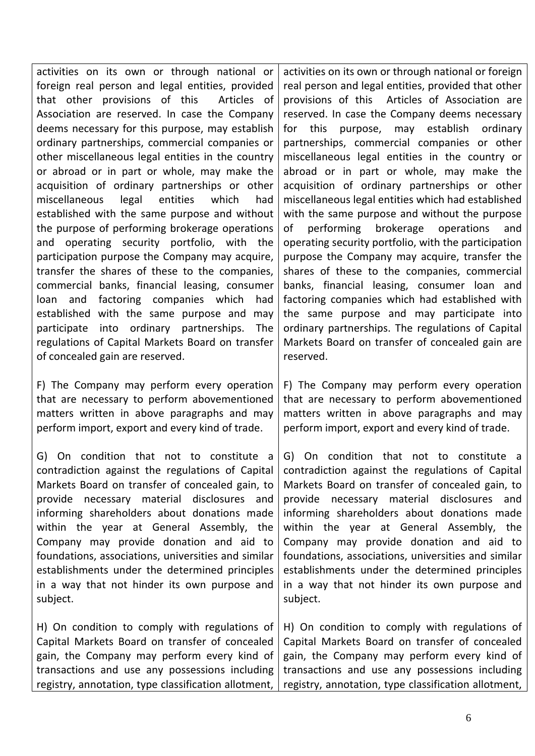activities on its own or through national or foreign real person and legal entities, provided that other provisions of this Articles of Association are reserved. In case the Company deems necessary for this purpose, may establish ordinary partnerships, commercial companies or other miscellaneous legal entities in the country or abroad or in part or whole, may make the acquisition of ordinary partnerships or other miscellaneous legal entities which had established with the same purpose and without the purpose of performing brokerage operations and operating security portfolio, with the participation purpose the Company may acquire, transfer the shares of these to the companies, commercial banks, financial leasing, consumer loan and factoring companies which had established with the same purpose and may participate into ordinary partnerships. The regulations of Capital Markets Board on transfer of concealed gain are reserved.

F) The Company may perform every operation that are necessary to perform abovementioned matters written in above paragraphs and may perform import, export and every kind of trade.

G) On condition that not to constitute a contradiction against the regulations of Capital Markets Board on transfer of concealed gain, to provide necessary material disclosures and informing shareholders about donations made within the year at General Assembly, the Company may provide donation and aid to foundations, associations, universities and similar establishments under the determined principles in a way that not hinder its own purpose and subject.

H) On condition to comply with regulations of Capital Markets Board on transfer of concealed gain, the Company may perform every kind of transactions and use any possessions including registry, annotation, type classification allotment,

activities on its own or through national or foreign real person and legal entities, provided that other provisions of this Articles of Association are reserved. In case the Company deems necessary for this purpose, may establish ordinary partnerships, commercial companies or other miscellaneous legal entities in the country or abroad or in part or whole, may make the acquisition of ordinary partnerships or other miscellaneous legal entities which had established with the same purpose and without the purpose of performing brokerage operations and operating security portfolio, with the participation purpose the Company may acquire, transfer the shares of these to the companies, commercial banks, financial leasing, consumer loan and factoring companies which had established with the same purpose and may participate into ordinary partnerships. The regulations of Capital Markets Board on transfer of concealed gain are reserved.

F) The Company may perform every operation that are necessary to perform abovementioned matters written in above paragraphs and may perform import, export and every kind of trade.

G) On condition that not to constitute a contradiction against the regulations of Capital Markets Board on transfer of concealed gain, to provide necessary material disclosures and informing shareholders about donations made within the year at General Assembly, the Company may provide donation and aid to foundations, associations, universities and similar establishments under the determined principles in a way that not hinder its own purpose and subject.

H) On condition to comply with regulations of Capital Markets Board on transfer of concealed gain, the Company may perform every kind of transactions and use any possessions including registry, annotation, type classification allotment,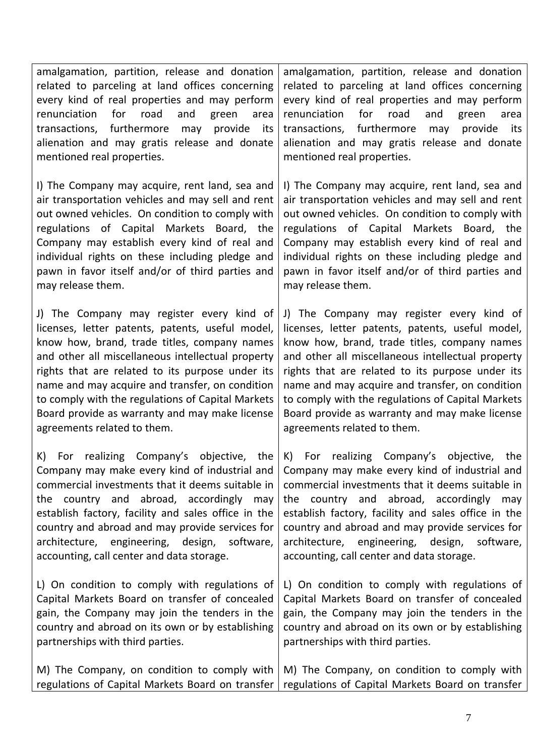amalgamation, partition, release and donation related to parceling at land offices concerning every kind of real properties and may perform renunciation for road and green area transactions, furthermore may provide its alienation and may gratis release and donate mentioned real properties.

I) The Company may acquire, rent land, sea and air transportation vehicles and may sell and rent out owned vehicles. On condition to comply with regulations of Capital Markets Board, the Company may establish every kind of real and individual rights on these including pledge and pawn in favor itself and/or of third parties and may release them.

J) The Company may register every kind of licenses, letter patents, patents, useful model, know how, brand, trade titles, company names and other all miscellaneous intellectual property rights that are related to its purpose under its name and may acquire and transfer, on condition to comply with the regulations of Capital Markets Board provide as warranty and may make license agreements related to them.

K) For realizing Company's objective, the Company may make every kind of industrial and commercial investments that it deems suitable in the country and abroad, accordingly may establish factory, facility and sales office in the country and abroad and may provide services for architecture, engineering, design, software, accounting, call center and data storage.

L) On condition to comply with regulations of Capital Markets Board on transfer of concealed gain, the Company may join the tenders in the country and abroad on its own or by establishing partnerships with third parties.

amalgamation, partition, release and donation related to parceling at land offices concerning every kind of real properties and may perform renunciation for road and green area transactions, furthermore may provide its alienation and may gratis release and donate mentioned real properties.

I) The Company may acquire, rent land, sea and air transportation vehicles and may sell and rent out owned vehicles. On condition to comply with regulations of Capital Markets Board, the Company may establish every kind of real and individual rights on these including pledge and pawn in favor itself and/or of third parties and may release them.

J) The Company may register every kind of licenses, letter patents, patents, useful model, know how, brand, trade titles, company names and other all miscellaneous intellectual property rights that are related to its purpose under its name and may acquire and transfer, on condition to comply with the regulations of Capital Markets Board provide as warranty and may make license agreements related to them.

K) For realizing Company's objective, the Company may make every kind of industrial and commercial investments that it deems suitable in the country and abroad, accordingly may establish factory, facility and sales office in the country and abroad and may provide services for architecture, engineering, design, software, accounting, call center and data storage.

L) On condition to comply with regulations of Capital Markets Board on transfer of concealed gain, the Company may join the tenders in the country and abroad on its own or by establishing partnerships with third parties.

M) The Company, on condition to comply with regulations of Capital Markets Board on transfer M) The Company, on condition to comply with regulations of Capital Markets Board on transfer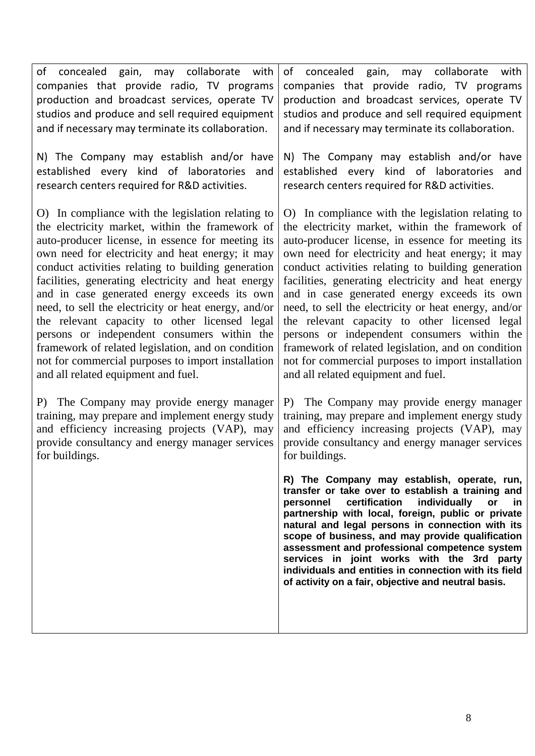| of concealed gain, may collaborate with<br>companies that provide radio, TV programs<br>production and broadcast services, operate TV<br>studios and produce and sell required equipment<br>and if necessary may terminate its collaboration.<br>N) The Company may establish and/or have<br>established every kind of laboratories and<br>research centers required for R&D activities. | of concealed gain, may collaborate<br>with<br>companies that provide radio, TV programs<br>production and broadcast services, operate TV<br>studios and produce and sell required equipment<br>and if necessary may terminate its collaboration.<br>N) The Company may establish and/or have<br>established every kind of laboratories<br>and<br>research centers required for R&D activities.                                                                                                                                          |
|------------------------------------------------------------------------------------------------------------------------------------------------------------------------------------------------------------------------------------------------------------------------------------------------------------------------------------------------------------------------------------------|-----------------------------------------------------------------------------------------------------------------------------------------------------------------------------------------------------------------------------------------------------------------------------------------------------------------------------------------------------------------------------------------------------------------------------------------------------------------------------------------------------------------------------------------|
| O) In compliance with the legislation relating to                                                                                                                                                                                                                                                                                                                                        | O) In compliance with the legislation relating to                                                                                                                                                                                                                                                                                                                                                                                                                                                                                       |
| the electricity market, within the framework of                                                                                                                                                                                                                                                                                                                                          | the electricity market, within the framework of                                                                                                                                                                                                                                                                                                                                                                                                                                                                                         |
| auto-producer license, in essence for meeting its                                                                                                                                                                                                                                                                                                                                        | auto-producer license, in essence for meeting its                                                                                                                                                                                                                                                                                                                                                                                                                                                                                       |
| own need for electricity and heat energy; it may                                                                                                                                                                                                                                                                                                                                         | own need for electricity and heat energy; it may                                                                                                                                                                                                                                                                                                                                                                                                                                                                                        |
| conduct activities relating to building generation                                                                                                                                                                                                                                                                                                                                       | conduct activities relating to building generation                                                                                                                                                                                                                                                                                                                                                                                                                                                                                      |
| facilities, generating electricity and heat energy                                                                                                                                                                                                                                                                                                                                       | facilities, generating electricity and heat energy                                                                                                                                                                                                                                                                                                                                                                                                                                                                                      |
| and in case generated energy exceeds its own                                                                                                                                                                                                                                                                                                                                             | and in case generated energy exceeds its own                                                                                                                                                                                                                                                                                                                                                                                                                                                                                            |
| need, to sell the electricity or heat energy, and/or                                                                                                                                                                                                                                                                                                                                     | need, to sell the electricity or heat energy, and/or                                                                                                                                                                                                                                                                                                                                                                                                                                                                                    |
| the relevant capacity to other licensed legal                                                                                                                                                                                                                                                                                                                                            | the relevant capacity to other licensed legal                                                                                                                                                                                                                                                                                                                                                                                                                                                                                           |
| persons or independent consumers within the                                                                                                                                                                                                                                                                                                                                              | persons or independent consumers within the                                                                                                                                                                                                                                                                                                                                                                                                                                                                                             |
| framework of related legislation, and on condition                                                                                                                                                                                                                                                                                                                                       | framework of related legislation, and on condition                                                                                                                                                                                                                                                                                                                                                                                                                                                                                      |
| not for commercial purposes to import installation                                                                                                                                                                                                                                                                                                                                       | not for commercial purposes to import installation                                                                                                                                                                                                                                                                                                                                                                                                                                                                                      |
| and all related equipment and fuel.                                                                                                                                                                                                                                                                                                                                                      | and all related equipment and fuel.                                                                                                                                                                                                                                                                                                                                                                                                                                                                                                     |
| P) The Company may provide energy manager                                                                                                                                                                                                                                                                                                                                                | P) The Company may provide energy manager                                                                                                                                                                                                                                                                                                                                                                                                                                                                                               |
| training, may prepare and implement energy study                                                                                                                                                                                                                                                                                                                                         | training, may prepare and implement energy study                                                                                                                                                                                                                                                                                                                                                                                                                                                                                        |
| and efficiency increasing projects (VAP), may                                                                                                                                                                                                                                                                                                                                            | and efficiency increasing projects (VAP), may                                                                                                                                                                                                                                                                                                                                                                                                                                                                                           |
| provide consultancy and energy manager services                                                                                                                                                                                                                                                                                                                                          | provide consultancy and energy manager services                                                                                                                                                                                                                                                                                                                                                                                                                                                                                         |
| for buildings.                                                                                                                                                                                                                                                                                                                                                                           | for buildings.                                                                                                                                                                                                                                                                                                                                                                                                                                                                                                                          |
|                                                                                                                                                                                                                                                                                                                                                                                          | R) The Company may establish, operate, run,<br>transfer or take over to establish a training and<br>certification<br>individually<br>personnel<br>or<br>in<br>partnership with local, foreign, public or private<br>natural and legal persons in connection with its<br>scope of business, and may provide qualification<br>assessment and professional competence system<br>services in joint works with the 3rd party<br>individuals and entities in connection with its field<br>of activity on a fair, objective and neutral basis. |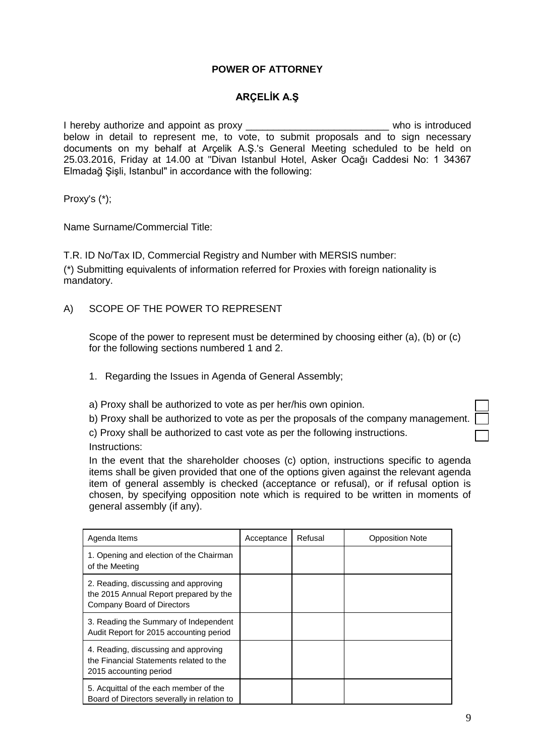# **POWER OF ATTORNEY**

# **ARÇELİK A.Ş**

I hereby authorize and appoint as proxy \_\_\_\_\_\_\_\_\_\_\_\_\_\_\_\_\_\_\_\_\_\_\_\_\_\_ who is introduced below in detail to represent me, to vote, to submit proposals and to sign necessary documents on my behalf at Arçelik A.Ş.'s General Meeting scheduled to be held on 25.03.2016, Friday at 14.00 at "Divan Istanbul Hotel, Asker Ocağı Caddesi No: 1 34367 Elmadağ Şişli, Istanbul" in accordance with the following:

Proxy's (\*);

Name Surname/Commercial Title:

T.R. ID No/Tax ID, Commercial Registry and Number with MERSIS number: (\*) Submitting equivalents of information referred for Proxies with foreign nationality is mandatory.

A) SCOPE OF THE POWER TO REPRESENT

Scope of the power to represent must be determined by choosing either (a), (b) or (c) for the following sections numbered 1 and 2.

- 1. Regarding the Issues in Agenda of General Assembly;
- a) Proxy shall be authorized to vote as per her/his own opinion.
- b) Proxy shall be authorized to vote as per the proposals of the company management.
- c) Proxy shall be authorized to cast vote as per the following instructions. Instructions:

In the event that the shareholder chooses (c) option, instructions specific to agenda items shall be given provided that one of the options given against the relevant agenda item of general assembly is checked (acceptance or refusal), or if refusal option is chosen, by specifying opposition note which is required to be written in moments of general assembly (if any).

| Agenda Items                                                                                                 | Acceptance | Refusal | <b>Opposition Note</b> |
|--------------------------------------------------------------------------------------------------------------|------------|---------|------------------------|
| 1. Opening and election of the Chairman<br>of the Meeting                                                    |            |         |                        |
| 2. Reading, discussing and approving<br>the 2015 Annual Report prepared by the<br>Company Board of Directors |            |         |                        |
| 3. Reading the Summary of Independent<br>Audit Report for 2015 accounting period                             |            |         |                        |
| 4. Reading, discussing and approving<br>the Financial Statements related to the<br>2015 accounting period    |            |         |                        |
| 5. Acquittal of the each member of the<br>Board of Directors severally in relation to                        |            |         |                        |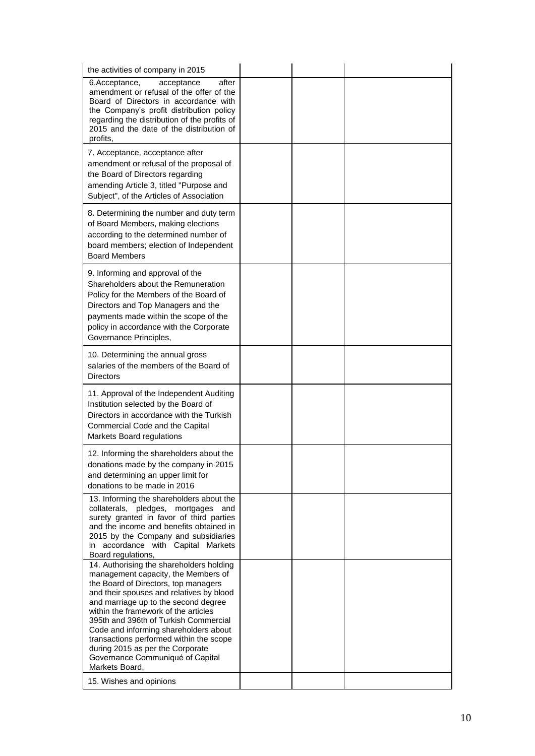| the activities of company in 2015                                                                                                                                                                                                                                                                                                                                                                                                                                          |  |  |
|----------------------------------------------------------------------------------------------------------------------------------------------------------------------------------------------------------------------------------------------------------------------------------------------------------------------------------------------------------------------------------------------------------------------------------------------------------------------------|--|--|
| 6.Acceptance,<br>after<br>acceptance<br>amendment or refusal of the offer of the<br>Board of Directors in accordance with<br>the Company's profit distribution policy<br>regarding the distribution of the profits of<br>2015 and the date of the distribution of<br>profits,                                                                                                                                                                                              |  |  |
| 7. Acceptance, acceptance after<br>amendment or refusal of the proposal of<br>the Board of Directors regarding<br>amending Article 3, titled "Purpose and<br>Subject", of the Articles of Association                                                                                                                                                                                                                                                                      |  |  |
| 8. Determining the number and duty term<br>of Board Members, making elections<br>according to the determined number of<br>board members; election of Independent<br><b>Board Members</b>                                                                                                                                                                                                                                                                                   |  |  |
| 9. Informing and approval of the<br>Shareholders about the Remuneration<br>Policy for the Members of the Board of<br>Directors and Top Managers and the<br>payments made within the scope of the<br>policy in accordance with the Corporate<br>Governance Principles,                                                                                                                                                                                                      |  |  |
| 10. Determining the annual gross<br>salaries of the members of the Board of<br>Directors                                                                                                                                                                                                                                                                                                                                                                                   |  |  |
| 11. Approval of the Independent Auditing<br>Institution selected by the Board of<br>Directors in accordance with the Turkish<br>Commercial Code and the Capital<br>Markets Board regulations                                                                                                                                                                                                                                                                               |  |  |
| 12. Informing the shareholders about the<br>donations made by the company in 2015<br>and determining an upper limit for<br>donations to be made in 2016                                                                                                                                                                                                                                                                                                                    |  |  |
| 13. Informing the shareholders about the<br>collaterals, pledges, mortgages and<br>surety granted in favor of third parties<br>and the income and benefits obtained in<br>2015 by the Company and subsidiaries<br>in accordance with Capital Markets<br>Board regulations,                                                                                                                                                                                                 |  |  |
| 14. Authorising the shareholders holding<br>management capacity, the Members of<br>the Board of Directors, top managers<br>and their spouses and relatives by blood<br>and marriage up to the second degree<br>within the framework of the articles<br>395th and 396th of Turkish Commercial<br>Code and informing shareholders about<br>transactions performed within the scope<br>during 2015 as per the Corporate<br>Governance Communiqué of Capital<br>Markets Board, |  |  |
| 15. Wishes and opinions                                                                                                                                                                                                                                                                                                                                                                                                                                                    |  |  |